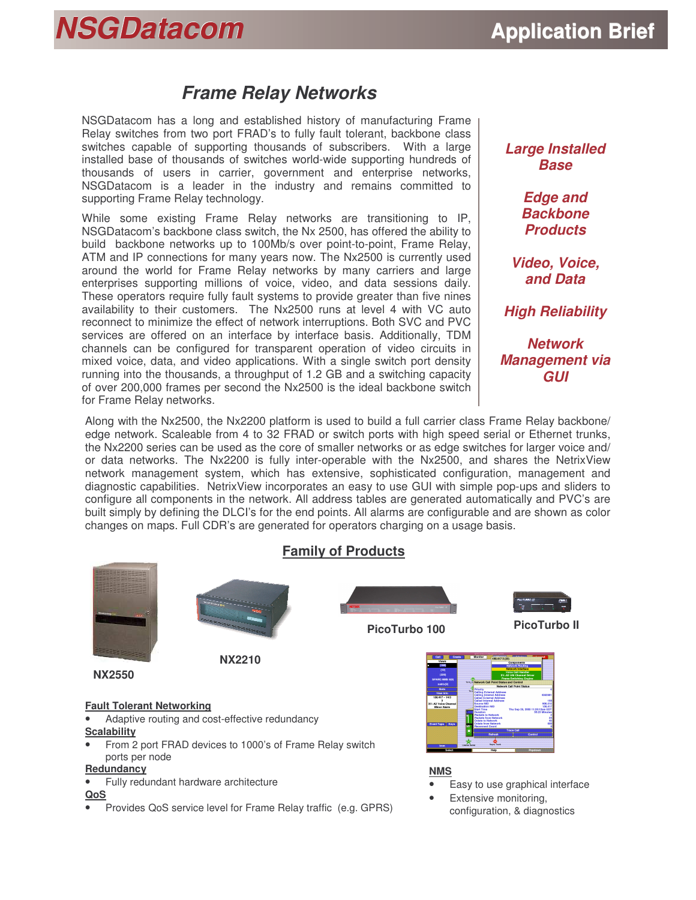# **NSGDatacom Application** Brief

## *Frame Relay Networks*

NSGDatacom has a long and established history of manufacturing Frame Relay switches from two port FRAD's to fully fault tolerant, backbone class switches capable of supporting thousands of subscribers. With a large installed base of thousands of switches world-wide supporting hundreds of thousands of users in carrier, government and enterprise networks, NSGDatacom is a leader in the industry and remains committed to supporting Frame Relay technology.

While some existing Frame Relay networks are transitioning to IP, NSGDatacom's backbone class switch, the Nx 2500, has offered the ability to build backbone networks up to 100Mb/s over point-to-point, Frame Relay, ATM and IP connections for many years now. The Nx2500 is currently used around the world for Frame Relay networks by many carriers and large enterprises supporting millions of voice, video, and data sessions daily. These operators require fully fault systems to provide greater than five nines availability to their customers. The Nx2500 runs at level 4 with VC auto reconnect to minimize the effect of network interruptions. Both SVC and PVC services are offered on an interface by interface basis. Additionally, TDM channels can be configured for transparent operation of video circuits in mixed voice, data, and video applications. With a single switch port density running into the thousands, a throughput of 1.2 GB and a switching capacity of over 200,000 frames per second the Nx2500 is the ideal backbone switch for Frame Relay networks.

#### *Large Installed Base*

*Edge and Backbone Products*

*Video, Voice, and Data*

*High Reliability*

*Network Management via GUI*

Along with the Nx2500, the Nx2200 platform is used to build a full carrier class Frame Relay backbone/ edge network. Scaleable from 4 to 32 FRAD or switch ports with high speed serial or Ethernet trunks, the Nx2200 series can be used as the core of smaller networks or as edge switches for larger voice and/ or data networks. The Nx2200 is fully inter-operable with the Nx2500, and shares the NetrixView network management system, which has extensive, sophisticated configuration, management and diagnostic capabilities. NetrixView incorporates an easy to use GUI with simple pop-ups and sliders to configure all components in the network. All address tables are generated automatically and PVC's are built simply by defining the DLCI's for the end points. All alarms are configurable and are shown as color changes on maps. Full CDR's are generated for operators charging on a usage basis.



• Provides QoS service level for Frame Relay traffic (e.g. GPRS)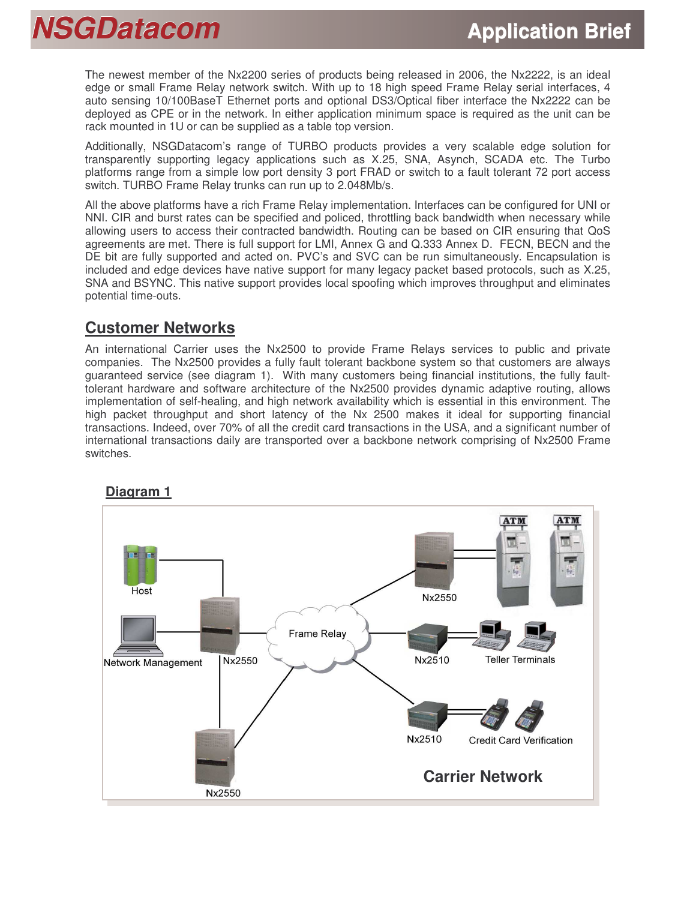The newest member of the Nx2200 series of products being released in 2006, the Nx2222, is an ideal edge or small Frame Relay network switch. With up to 18 high speed Frame Relay serial interfaces, 4 auto sensing 10/100BaseT Ethernet ports and optional DS3/Optical fiber interface the Nx2222 can be deployed as CPE or in the network. In either application minimum space is required as the unit can be rack mounted in 1U or can be supplied as a table top version.

Additionally, NSGDatacom's range of TURBO products provides a very scalable edge solution for transparently supporting legacy applications such as X.25, SNA, Asynch, SCADA etc. The Turbo platforms range from a simple low port density 3 port FRAD or switch to a fault tolerant 72 port access switch. TURBO Frame Relay trunks can run up to 2.048Mb/s.

All the above platforms have a rich Frame Relay implementation. Interfaces can be configured for UNI or NNI. CIR and burst rates can be specified and policed, throttling back bandwidth when necessary while allowing users to access their contracted bandwidth. Routing can be based on CIR ensuring that QoS agreements are met. There is full support for LMI, Annex G and Q.333 Annex D. FECN, BECN and the DE bit are fully supported and acted on. PVC's and SVC can be run simultaneously. Encapsulation is included and edge devices have native support for many legacy packet based protocols, such as X.25, SNA and BSYNC. This native support provides local spoofing which improves throughput and eliminates potential time-outs.

### **Customer Networks**

An international Carrier uses the Nx2500 to provide Frame Relays services to public and private companies. The Nx2500 provides a fully fault tolerant backbone system so that customers are always guaranteed service (see diagram 1). With many customers being financial institutions, the fully faulttolerant hardware and software architecture of the Nx2500 provides dynamic adaptive routing, allows implementation of self-healing, and high network availability which is essential in this environment. The high packet throughput and short latency of the Nx 2500 makes it ideal for supporting financial transactions. Indeed, over 70% of all the credit card transactions in the USA, and a significant number of international transactions daily are transported over a backbone network comprising of Nx2500 Frame switches.